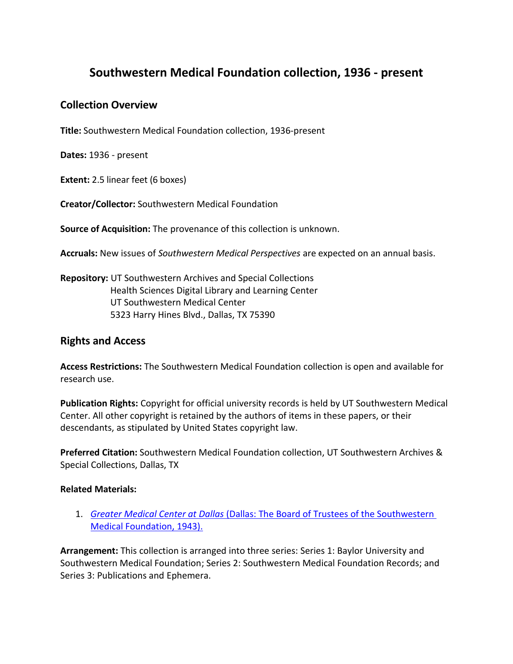# **Southwestern Medical Foundation collection, 1936 - present**

### **Collection Overview**

**Title:** Southwestern Medical Foundation collection, 1936-present

**Dates:** 1936 - present

**Extent:** 2.5 linear feet (6 boxes)

**Creator/Collector:** Southwestern Medical Foundation

**Source of Acquisition:** The provenance of this collection is unknown.

**Accruals:** New issues of *Southwestern Medical Perspectives* are expected on an annual basis.

**Repository:** UT Southwestern Archives and Special Collections Health Sciences Digital Library and Learning Center UT Southwestern Medical Center 5323 Harry Hines Blvd., Dallas, TX 75390

# **Rights and Access**

**Access Restrictions:** The Southwestern Medical Foundation collection is open and available for research use.

**Publication Rights:** Copyright for official university records is held by UT Southwestern Medical Center. All other copyright is retained by the authors of items in these papers, or their descendants, as stipulated by United States copyright law.

**Preferred Citation:** Southwestern Medical Foundation collection, UT Southwestern Archives & Special Collections, Dallas, TX

#### **Related Materials:**

1. *Greater Medical Center at Dallas* [\(Dallas: The Board of Trustees of the Southwestern](https://utswm.bywatersolutions.com/cgi-bin/koha/opac-detail.pl?biblionumber=8255&query_desc=kw%2Cwrdl%3A%20WX%2028%20.At4%20S726g%201943)  [Medical Foundation, 1943\).](https://utswm.bywatersolutions.com/cgi-bin/koha/opac-detail.pl?biblionumber=8255&query_desc=kw%2Cwrdl%3A%20WX%2028%20.At4%20S726g%201943)

**Arrangement:** This collection is arranged into three series: Series 1: Baylor University and Southwestern Medical Foundation; Series 2: Southwestern Medical Foundation Records; and Series 3: Publications and Ephemera.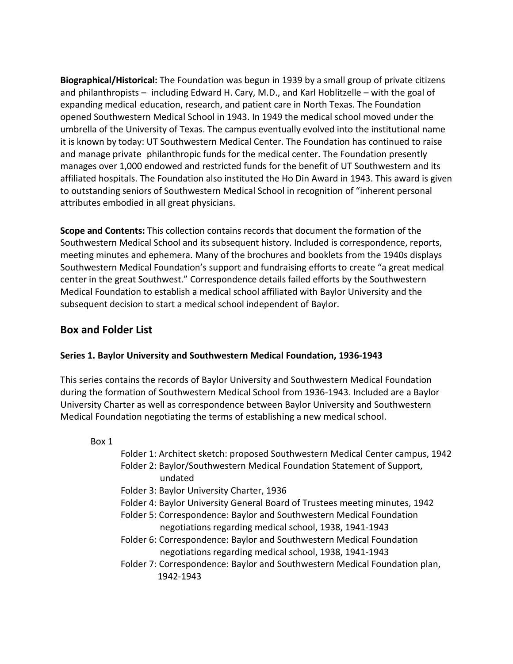**Biographical/Historical:** The Foundation was begun in 1939 by a small group of private citizens and philanthropists – including Edward H. Cary, M.D., and Karl Hoblitzelle – with the goal of expanding medical education, research, and patient care in North Texas. The Foundation opened Southwestern Medical School in 1943. In 1949 the medical school moved under the umbrella of the University of Texas. The campus eventually evolved into the institutional name it is known by today: UT Southwestern Medical Center. The Foundation has continued to raise and manage private philanthropic funds for the medical center. The Foundation presently manages over 1,000 endowed and restricted funds for the benefit of UT Southwestern and its affiliated hospitals. The Foundation also instituted the Ho Din Award in 1943. This award is given to outstanding seniors of Southwestern Medical School in recognition of "inherent personal attributes embodied in all great physicians.

**Scope and Contents:** This collection contains records that document the formation of the Southwestern Medical School and its subsequent history. Included is correspondence, reports, meeting minutes and ephemera. Many of the brochures and booklets from the 1940s displays Southwestern Medical Foundation's support and fundraising efforts to create "a great medical center in the great Southwest." Correspondence details failed efforts by the Southwestern Medical Foundation to establish a medical school affiliated with Baylor University and the subsequent decision to start a medical school independent of Baylor.

# **Box and Folder List**

### **Series 1. Baylor University and Southwestern Medical Foundation, 1936-1943**

This series contains the records of Baylor University and Southwestern Medical Foundation during the formation of Southwestern Medical School from 1936-1943. Included are a Baylor University Charter as well as correspondence between Baylor University and Southwestern Medical Foundation negotiating the terms of establishing a new medical school.

#### Box 1

- Folder 1: Architect sketch: proposed Southwestern Medical Center campus, 1942
- Folder 2: Baylor/Southwestern Medical Foundation Statement of Support, undated
- Folder 3: Baylor University Charter, 1936
- Folder 4: Baylor University General Board of Trustees meeting minutes, 1942
- Folder 5: Correspondence: Baylor and Southwestern Medical Foundation negotiations regarding medical school, 1938, 1941-1943
- Folder 6: Correspondence: Baylor and Southwestern Medical Foundation negotiations regarding medical school, 1938, 1941-1943
- Folder 7: Correspondence: Baylor and Southwestern Medical Foundation plan, 1942-1943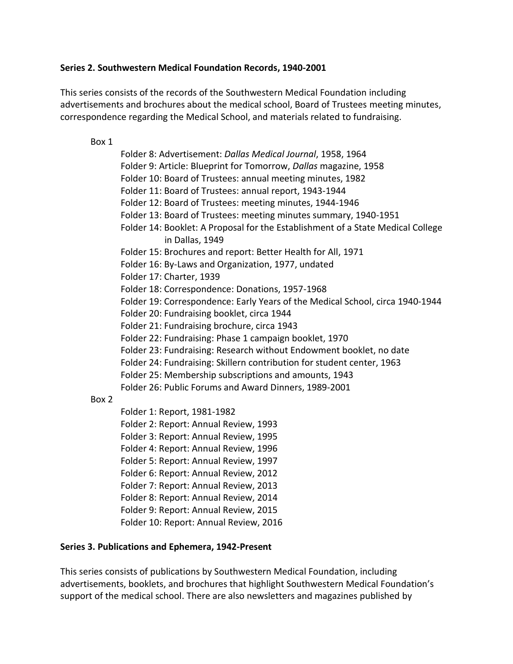#### **Series 2. Southwestern Medical Foundation Records, 1940-2001**

This series consists of the records of the Southwestern Medical Foundation including advertisements and brochures about the medical school, Board of Trustees meeting minutes, correspondence regarding the Medical School, and materials related to fundraising.

Box 1

Box 2

Folder 8: Advertisement: *Dallas Medical Journal*, 1958, 1964 Folder 9: Article: Blueprint for Tomorrow, *Dallas* magazine, 1958 Folder 10: Board of Trustees: annual meeting minutes, 1982 Folder 11: Board of Trustees: annual report, 1943-1944 Folder 12: Board of Trustees: meeting minutes, 1944-1946 Folder 13: Board of Trustees: meeting minutes summary, 1940-1951 Folder 14: Booklet: A Proposal for the Establishment of a State Medical College in Dallas, 1949 Folder 15: Brochures and report: Better Health for All, 1971 Folder 16: By-Laws and Organization, 1977, undated Folder 17: Charter, 1939 Folder 18: Correspondence: Donations, 1957-1968 Folder 19: Correspondence: Early Years of the Medical School, circa 1940-1944 Folder 20: Fundraising booklet, circa 1944 Folder 21: Fundraising brochure, circa 1943 Folder 22: Fundraising: Phase 1 campaign booklet, 1970 Folder 23: Fundraising: Research without Endowment booklet, no date Folder 24: Fundraising: Skillern contribution for student center, 1963 Folder 25: Membership subscriptions and amounts, 1943 Folder 26: Public Forums and Award Dinners, 1989-2001 Folder 1: Report, 1981-1982 Folder 2: Report: Annual Review, 1993 Folder 3: Report: Annual Review, 1995 Folder 4: Report: Annual Review, 1996 Folder 5: Report: Annual Review, 1997 Folder 6: Report: Annual Review, 2012

- Folder 7: Report: Annual Review, 2013
- Folder 8: Report: Annual Review, 2014 Folder 9: Report: Annual Review, 2015
- Folder 10: Report: Annual Review, 2016

### **Series 3. Publications and Ephemera, 1942-Present**

This series consists of publications by Southwestern Medical Foundation, including advertisements, booklets, and brochures that highlight Southwestern Medical Foundation's support of the medical school. There are also newsletters and magazines published by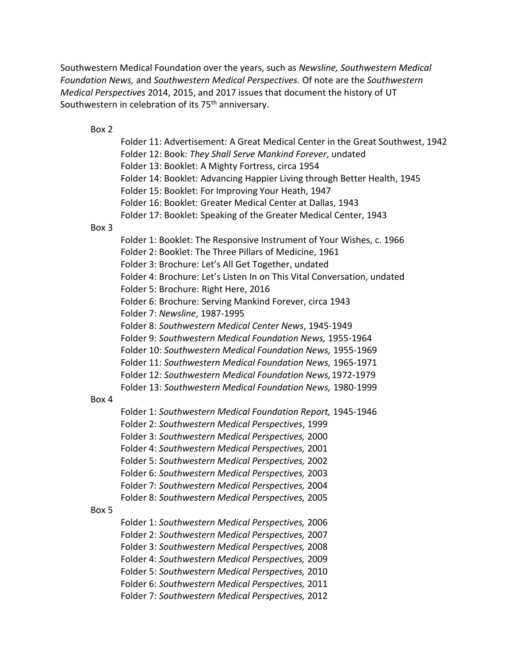Southwestern Medical Foundation over the years, such as *Newsline, Southwestern Medical Foundation News,* and *Southwestern Medical Perspectives.* Of note are the *Southwestern Medical Perspectives* 2014, 2015, and 2017 issues that document the history of UT Southwestern in celebration of its 75<sup>th</sup> anniversary.

#### Box 2

Folder 11: Advertisement: A Great Medical Center in the Great Southwest, 1942 Folder 12: Book: *They Shall Serve Mankind Forever*, undated Folder 13: Booklet: A Mighty Fortress, circa 1954 Folder 14: Booklet: Advancing Happier Living through Better Health, 1945 Folder 15: Booklet: For Improving Your Heath, 1947 Folder 16: Booklet: Greater Medical Center at Dallas, 1943 Folder 17: Booklet: Speaking of the Greater Medical Center, 1943

#### Box 3

Folder 1: Booklet: The Responsive Instrument of Your Wishes, c. 1966 Folder 2: Booklet: The Three Pillars of Medicine, 1961 Folder 3: Brochure: Let's All Get Together, undated Folder 4: Brochure: Let's Listen In on This Vital Conversation, undated Folder 5: Brochure: Right Here, 2016 Folder 6: Brochure: Serving Mankind Forever, circa 1943 Folder 7: *Newsline*, 1987-1995 Folder 8: *Southwestern Medical Center News*, 1945-1949 Folder 9: *Southwestern Medical Foundation News,* 1955-1964 Folder 10: *Southwestern Medical Foundation News,* 1955-1969 Folder 11: *Southwestern Medical Foundation News,* 1965-1971 Folder 12: *Southwestern Medical Foundation News,*1972-1979 Folder 13: *Southwestern Medical Foundation News,* 1980-1999 Box 4 Folder 1: *Southwestern Medical Foundation Report,* 1945-1946 Folder 2: *Southwestern Medical Perspectives*, 1999 Folder 3: *Southwestern Medical Perspectives,* 2000 Folder 4: *Southwestern Medical Perspectives,* 2001 Folder 5: *Southwestern Medical Perspectives,* 2002 Folder 6: *Southwestern Medical Perspectives,* 2003 Folder 7: *Southwestern Medical Perspectives,* 2004 Folder 8: *Southwestern Medical Perspectives,* 2005 Box 5 Folder 1: *Southwestern Medical Perspectives,* 2006 Folder 2: *Southwestern Medical Perspectives,* 2007 Folder 3: *Southwestern Medical Perspectives,* 2008 Folder 4: *Southwestern Medical Perspectives,* 2009 Folder 5: *Southwestern Medical Perspectives,* 2010

Folder 6: *Southwestern Medical Perspectives,* 2011 Folder 7: *Southwestern Medical Perspectives,* 2012